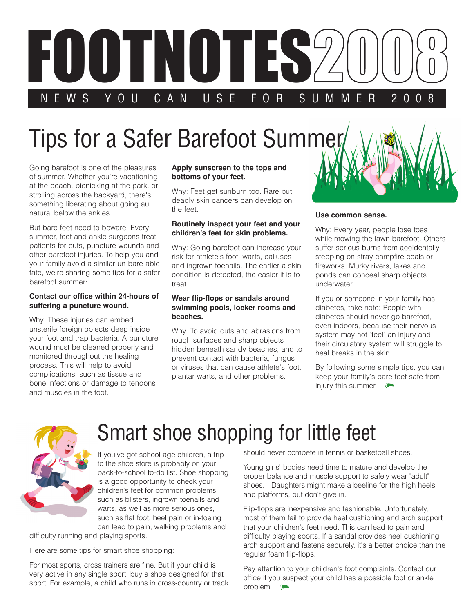

# **Tips for a Safer Barefoot Summer**

Going barefoot is one of the pleasures of summer. Whether you're vacationing at the beach, picnicking at the park, or strolling across the backyard, there's something liberating about going au natural below the ankles.

But bare feet need to beware. Every summer, foot and ankle surgeons treat patients for cuts, puncture wounds and other barefoot injuries. To help you and your family avoid a similar un-bare-able fate, we're sharing some tips for a safer barefoot summer:

#### **Contact our office within 24-hours of suffering a puncture wound.**

Why: These injuries can embed unsterile foreign objects deep inside your foot and trap bacteria. A puncture wound must be cleaned properly and monitored throughout the healing process. This will help to avoid complications, such as tissue and bone infections or damage to tendons and muscles in the foot.

#### **Apply sunscreen to the tops and bottoms of your feet.**

Why: Feet get sunburn too. Rare but deadly skin cancers can develop on the feet.

#### **Routinely inspect your feet and your children's feet for skin problems.**

Why: Going barefoot can increase your risk for athlete's foot, warts, calluses and ingrown toenails. The earlier a skin condition is detected, the easier it is to treat.

#### **Wear flip-flops or sandals around swimming pools, locker rooms and beaches.**

Why: To avoid cuts and abrasions from rough surfaces and sharp objects hidden beneath sandy beaches, and to prevent contact with bacteria, fungus or viruses that can cause athlete's foot, plantar warts, and other problems.



### **Use common sense.**

Why: Every year, people lose toes while mowing the lawn barefoot. Others suffer serious burns from accidentally stepping on stray campfire coals or fireworks. Murky rivers, lakes and ponds can conceal sharp objects underwater.

If you or someone in your family has diabetes, take note: People with diabetes should never go barefoot, even indoors, because their nervous system may not "feel" an injury and their circulatory system will struggle to heal breaks in the skin.

By following some simple tips, you can keep your family's bare feet safe from injury this summer.



# Smart shoe shopping for little feet

If you've got school-age children, a trip to the shoe store is probably on your back-to-school to-do list. Shoe shopping is a good opportunity to check your children's feet for common problems such as blisters, ingrown toenails and warts, as well as more serious ones, such as flat foot, heel pain or in-toeing can lead to pain, walking problems and

difficulty running and playing sports.

Here are some tips for smart shoe shopping:

For most sports, cross trainers are fine. But if your child is very active in any single sport, buy a shoe designed for that sport. For example, a child who runs in cross-country or track should never compete in tennis or basketball shoes.

Young girls' bodies need time to mature and develop the proper balance and muscle support to safely wear "adult" shoes. Daughters might make a beeline for the high heels and platforms, but don't give in.

Flip-flops are inexpensive and fashionable. Unfortunately, most of them fail to provide heel cushioning and arch support that your children's feet need. This can lead to pain and difficulty playing sports. If a sandal provides heel cushioning, arch support and fastens securely, it's a better choice than the regular foam flip-flops.

Pay attention to your children's foot complaints. Contact our office if you suspect your child has a possible foot or ankle problem.